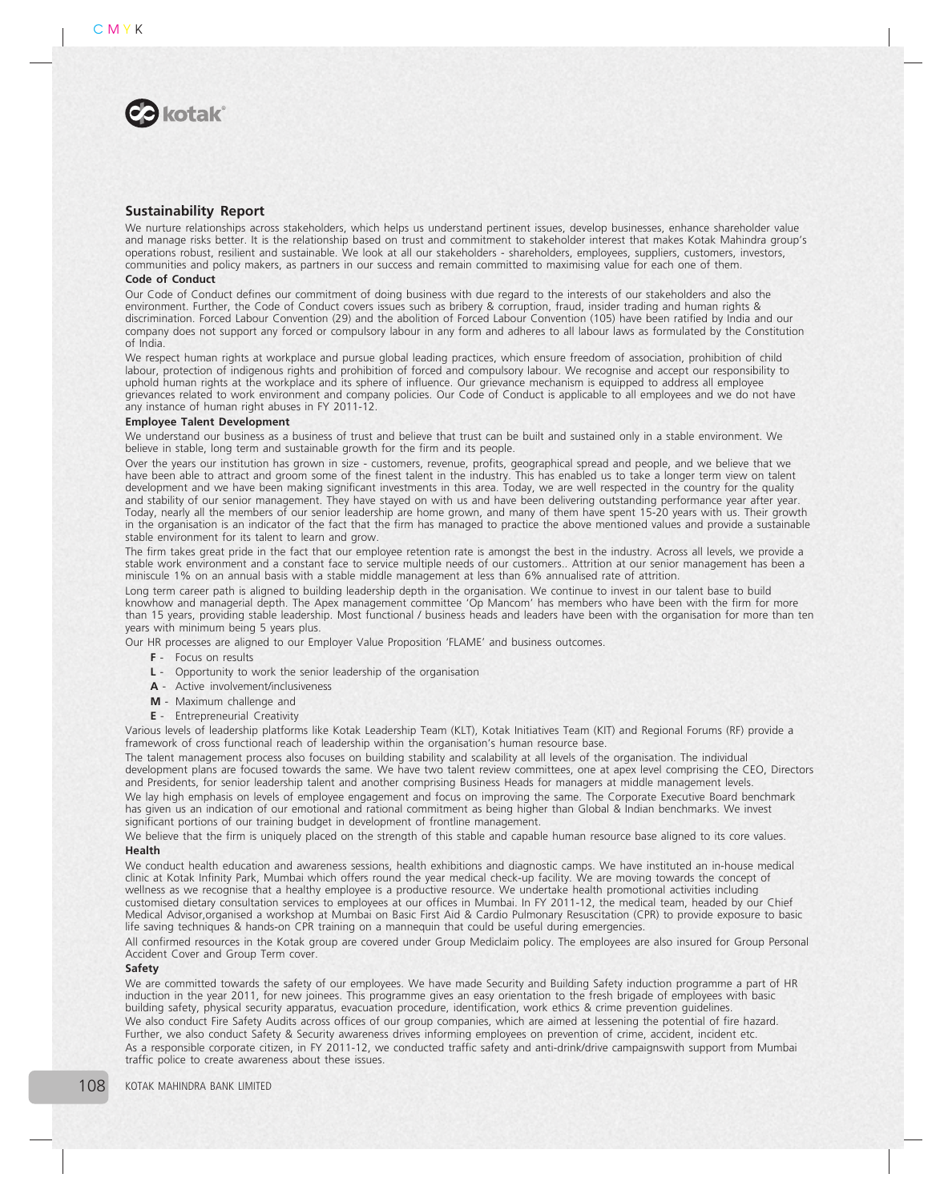

# Sustainability Report

We nurture relationships across stakeholders, which helps us understand pertinent issues, develop businesses, enhance shareholder value and manage risks better. It is the relationship based on trust and commitment to stakeholder interest that makes Kotak Mahindra group's operations robust, resilient and sustainable. We look at all our stakeholders - shareholders, employees, suppliers, customers, investors, communities and policy makers, as partners in our success and remain committed to maximising value for each one of them.

## Code of Conduct

Our Code of Conduct defines our commitment of doing business with due regard to the interests of our stakeholders and also the environment. Further, the Code of Conduct covers issues such as bribery & corruption, fraud, insider trading and human rights & discrimination. Forced Labour Convention (29) and the abolition of Forced Labour Convention (105) have been ratified by India and our company does not support any forced or compulsory labour in any form and adheres to all labour laws as formulated by the Constitution of India.

We respect human rights at workplace and pursue global leading practices, which ensure freedom of association, prohibition of child labour, protection of indigenous rights and prohibition of forced and compulsory labour. We recognise and accept our responsibility to uphold human rights at the workplace and its sphere of influence. Our grievance mechanism is equipped to address all employee grievances related to work environment and company policies. Our Code of Conduct is applicable to all employees and we do not have any instance of human right abuses in FY 2011-12.

# Employee Talent Development

We understand our business as a business of trust and believe that trust can be built and sustained only in a stable environment. We believe in stable, long term and sustainable growth for the firm and its people.

Over the years our institution has grown in size - customers, revenue, profits, geographical spread and people, and we believe that we have been able to attract and groom some of the finest talent in the industry. This has enabled us to take a longer term view on talent development and we have been making significant investments in this area. Today, we are well respected in the country for the quality and stability of our senior management. They have stayed on with us and have been delivering outstanding performance year after year. Today, nearly all the members of our senior leadership are home grown, and many of them have spent 15-20 years with us. Their growth in the organisation is an indicator of the fact that the firm has managed to practice the above mentioned values and provide a sustainable stable environment for its talent to learn and grow.

The firm takes great pride in the fact that our employee retention rate is amongst the best in the industry. Across all levels, we provide a stable work environment and a constant face to service multiple needs of our customers.. Attrition at our senior management has been a miniscule 1% on an annual basis with a stable middle management at less than 6% annualised rate of attrition.

Long term career path is aligned to building leadership depth in the organisation. We continue to invest in our talent base to build knowhow and managerial depth. The Apex management committee 'Op Mancom' has members who have been with the firm for more than 15 years, providing stable leadership. Most functional / business heads and leaders have been with the organisation for more than ten years with minimum being 5 years plus.

Our HR processes are aligned to our Employer Value Proposition 'FLAME' and business outcomes.

- F Focus on results
- L Opportunity to work the senior leadership of the organisation
- A Active involvement/inclusiveness
- M Maximum challenge and
- E Entrepreneurial Creativity

Various levels of leadership platforms like Kotak Leadership Team (KLT), Kotak Initiatives Team (KIT) and Regional Forums (RF) provide a framework of cross functional reach of leadership within the organisation's human resource base.

The talent management process also focuses on building stability and scalability at all levels of the organisation. The individual development plans are focused towards the same. We have two talent review committees, one at apex level comprising the CEO, Directors and Presidents, for senior leadership talent and another comprising Business Heads for managers at middle management levels. We lay high emphasis on levels of employee engagement and focus on improving the same. The Corporate Executive Board benchmark has given us an indication of our emotional and rational commitment as being higher than Global & Indian benchmarks. We invest significant portions of our training budget in development of frontline management.

We believe that the firm is uniquely placed on the strength of this stable and capable human resource base aligned to its core values. Health

We conduct health education and awareness sessions, health exhibitions and diagnostic camps. We have instituted an in-house medical clinic at Kotak Infinity Park, Mumbai which offers round the year medical check-up facility. We are moving towards the concept of wellness as we recognise that a healthy employee is a productive resource. We undertake health promotional activities including customised dietary consultation services to employees at our offices in Mumbai. In FY 2011-12, the medical team, headed by our Chief Medical Advisor,organised a workshop at Mumbai on Basic First Aid & Cardio Pulmonary Resuscitation (CPR) to provide exposure to basic life saving techniques & hands-on CPR training on a mannequin that could be useful during emergencies.

All confirmed resources in the Kotak group are covered under Group Mediclaim policy. The employees are also insured for Group Personal Accident Cover and Group Term cover.

# Safety

We are committed towards the safety of our employees. We have made Security and Building Safety induction programme a part of HR induction in the year 2011, for new joinees. This programme gives an easy orientation to the fresh brigade of employees with basic building safety, physical security apparatus, evacuation procedure, identification, work ethics & crime prevention guidelines. We also conduct Fire Safety Audits across offices of our group companies, which are aimed at lessening the potential of fire hazard. Further, we also conduct Safety & Security awareness drives informing employees on prevention of crime, accident, incident etc. As a responsible corporate citizen, in FY 2011-12, we conducted traffic safety and anti-drink/drive campaignswith support from Mumbai traffic police to create awareness about these issues.